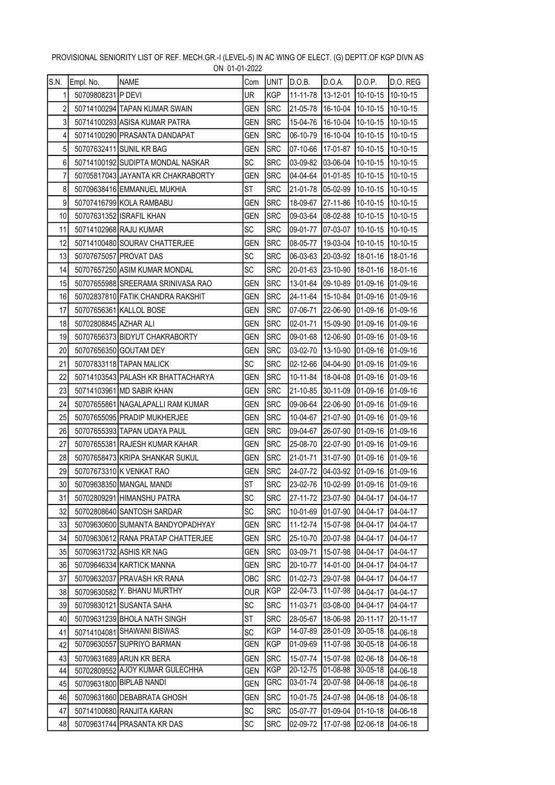|                 |                       | <b>UIT UI UI LULL</b>              |            |             |                                     |                   |                  |                  |
|-----------------|-----------------------|------------------------------------|------------|-------------|-------------------------------------|-------------------|------------------|------------------|
| S.N.            | Empl. No.             | <b>NAME</b>                        | Com        | UNIT        | D.O.B.                              | D.O.A.            | D.O.P.           | D.O. REG         |
| $\mathbf{1}$    | 50709808231 P DEVI    |                                    | UR         | <b>KGP</b>  | 11-11-78                            | 13-12-01          | $10-10-15$       | $10-10-15$       |
| $\sqrt{2}$      |                       | 50714100294 TAPAN KUMAR SWAIN      | GEN        | <b>SRC</b>  | 21-05-78                            | 16-10-04          | 10-10-15         | 10-10-15         |
| 3               |                       | 50714100293 ASISA KUMAR PATRA      | GEN        | <b>ISRC</b> | 15-04-76                            | 16-10-04          | $10 - 10 - 15$   | 10-10-15         |
| $\overline{4}$  |                       | 50714100290 PRASANTA DANDAPAT      | GEN        | <b>SRC</b>  | 06-10-79                            | 16-10-04          | $10-10-15$       | 10-10-15         |
| 5               |                       | 50707632411 SUNIL KR BAG           | GEN        | <b>SRC</b>  | 07-10-66                            | 17-01-87          | $10-10-15$       | 10-10-15         |
| 6               |                       | 50714100192 SUDIPTA MONDAL NASKAR  | SC         | <b>SRC</b>  | 03-09-82                            | 03-06-04          | 10-10-15         | 10-10-15         |
| 7               |                       | 50705817043 JAYANTA KR CHAKRABORTY | GEN        | <b>SRC</b>  | 04-04-64                            | 01-01-85          | 10-10-15         | 10-10-15         |
| 8               |                       | 50709638416 EMMANUEL MUKHIA        | ST         | <b>SRC</b>  | 21-01-78                            | 05-02-99          | 10-10-15         | 10-10-15         |
| 9               |                       | 50707416799 KOLA RAMBABU           | GEN        | <b>SRC</b>  | 18-09-67                            | 27-11-86          | 10-10-15         | 10-10-15         |
| 10              |                       | 50707631352 ISRAFIL KHAN           | GEN        | <b>SRC</b>  | 09-03-64                            | 08-02-88          | $10 - 10 - 15$   | 10-10-15         |
| 11              |                       | 50714102968 RAJU KUMAR             | <b>SC</b>  | <b>SRC</b>  | 09-01-77                            | 07-03-07          | 10-10-15         | 10-10-15         |
| 12              |                       | 50714100480 SOURAV CHATTERJEE      | GEN        | <b>SRC</b>  | 08-05-77                            | 19-03-04          | 10-10-15         | 10-10-15         |
| 13              |                       | 50707675057 PROVAT DAS             | SC         | <b>SRC</b>  | 06-03-63                            | 20-03-92 18-01-16 |                  | 18-01-16         |
| 14              |                       | 50707657250 ASIM KUMAR MONDAL      | SC         | <b>SRC</b>  | 20-01-63                            | 23-10-90          | 18-01-16         | 18-01-16         |
| 15              |                       | 50707655988 SREERAMA SRINIVASA RAO | GEN        | <b>SRC</b>  | 13-01-64                            | 09-10-89          | 01-09-16         | 01-09-16         |
| 16              |                       | 50702837810 FATIK CHANDRA RAKSHIT  | GEN        | <b>SRC</b>  | 24-11-64                            | 15-10-84          | 01-09-16         | 01-09-16         |
| 17              |                       | 50707656361 KALLOL BOSE            | GEN        | <b>SRC</b>  | 07-06-71                            | 22-06-90          | 01-09-16         | 01-09-16         |
| 18              | 50702808845 AZHAR ALI |                                    | GEN        | <b>ISRC</b> | 02-01-71                            | 15-09-90          | $[01-09-16]$     | $[01-09-16]$     |
| 19              |                       | 50707656373 BIDYUT CHAKRABORTY     | GEN        | <b>SRC</b>  | 09-01-68                            | 12-06-90          | 01-09-16         | 01-09-16         |
| 20              |                       | 50707656350 GOUTAM DEY             | GEN        | <b>SRC</b>  | 03-02-70                            | 13-10-90          | 01-09-16         | $ 01 - 09 - 16 $ |
| 21              |                       | 50707833118 TAPAN MALICK           | SC         | <b>SRC</b>  | 02-12-66                            | 04-04-90          | 01-09-16         | 01-09-16         |
| 22              |                       | 50714103543 PALASH KR BHATTACHARYA | GEN        | <b>SRC</b>  | 10-11-84                            | 18-04-08          | 01-09-16         | 01-09-16         |
| 23              |                       | 50714103961 MD SABIR KHAN          | GEN        | SRC         | 21-10-85                            | 30-11-09          | 01-09-16         | 01-09-16         |
| 24              |                       | 50707655861 NAGALAPALLI RAM KUMAR  | GEN        | <b>SRC</b>  | 09-06-64                            | 22-06-90          | 01-09-16         | 01-09-16         |
| 25              |                       | 50707655095 PRADIP MUKHERJEE       | GEN        | <b>SRC</b>  | 10-04-67                            | 21-07-90          | $ 01 - 09 - 16 $ | 01-09-16         |
| 26              |                       | 50707655393 TAPAN UDAYA PAUL       | GEN        | <b>SRC</b>  | 09-04-67                            | 26-07-90          | 01-09-16         | 01-09-16         |
| 27              |                       | 50707655381 RAJESH KUMAR KAHAR     | GEN        | <b>SRC</b>  | 25-08-70                            | 22-07-90          | 01-09-16         | 01-09-16         |
| 28              |                       | 50707658473 KRIPA SHANKAR SUKUL    | <b>GEN</b> | <b>SRC</b>  | 21-01-71                            | 31-07-90          | $[01-09-16]$     | $ 01 - 09 - 16 $ |
| 29              |                       | 50707673310 K VENKAT RAO           | GEN        | <b>SRC</b>  | 24-07-72                            | 04-03-92 01-09-16 |                  | 01-09-16         |
| 30 <sup>1</sup> |                       | 50709638350 MANGAL MANDI           | <b>ST</b>  | <b>SRC</b>  | 23-02-76 10-02-99 01-09-16 01-09-16 |                   |                  |                  |
| 31              |                       | 50702809291 HIMANSHU PATRA         | <b>SC</b>  | <b>ISRC</b> | 27-11-72                            | 23-07-90          | 04-04-17         | 04-04-17         |
| 32              |                       | 50702808640 SANTOSH SARDAR         | <b>SC</b>  | <b>SRC</b>  | 10-01-69                            | 01-07-90          | 04-04-17         | 04-04-17         |
| 33              |                       | 50709630600 SUMANTA BANDYOPADHYAY  | GEN        | <b>SRC</b>  | 11-12-74                            | 15-07-98          | 04-04-17         | 04-04-17         |
| 34              |                       | 50709630612 RANA PRATAP CHATTERJEE | GEN        | <b>SRC</b>  | 25-10-70                            | 20-07-98          | 04-04-17         | $[04 - 04 - 17]$ |
| 35              |                       | 50709631732 ASHIS KR NAG           | GEN        | <b>SRC</b>  | 03-09-71                            | 15-07-98          | 04-04-17         | $[04 - 04 - 17]$ |
| 36              |                       | 50709646334 KARTICK MANNA          | GEN        | <b>SRC</b>  | 20-10-77                            | 14-01-00          | 04-04-17         | 04-04-17         |
| 37              |                       | 50709632037 PRAVASH KR RANA        | ОВС        | <b>SRC</b>  | 01-02-73                            | 29-07-98          | 04-04-17         | 04-04-17         |
| 38              |                       | 50709630582 Y. BHANU MURTHY        | OUR        | <b>KGP</b>  | 22-04-73                            | 11-07-98          | 04-04-17         | 04-04-17         |
| 39              |                       | 50709830121 SUSANTA SAHA           | SC         | <b>SRC</b>  | 11-03-71                            | 03-08-00          | 04-04-17         | 04-04-17         |
| 40              |                       | 50709631239 BHOLA NATH SINGH       | ST         | <b>SRC</b>  | 28-05-67                            | 18-06-98          | 20-11-17         | 20-11-17         |
| 41              |                       | 50714104081 SHAWANI BISWAS         | <b>SC</b>  | KGP         | 14-07-89                            | 28-01-09          | 30-05-18         | 04-06-18         |
| 42              |                       | 50709630557 SUPRIYO BARMAN         | <b>GEN</b> | <b>KGP</b>  | 01-09-69                            | 11-07-98          | 30-05-18         | 04-06-18         |
| 43              |                       | 50709631689 ARUN KR BERA           | GEN        | <b>SRC</b>  | 15-07-74                            | 15-07-98          | 02-06-18         | 04-06-18         |
| 44              |                       | 50702809552 AJOY KUMAR GULECHHA    | GEN        | KGP         | 20-12-75                            | 01-08-98          | 30-05-18         | 04-06-18         |
| 45              |                       | 50709631800 BIPLAB NANDI           | GEN        | GRC         | 03-01-74                            | 20-07-98          | 04-06-18         | 04-06-18         |
| 46              |                       | 50709631860 DEBABRATA GHOSH        | GEN        | <b>SRC</b>  | 10-01-75                            | 24-07-98          | 04-06-18         | $ 04 - 06 - 18 $ |
| 47              |                       | 50714100680 RANJITA KARAN          | SC         | <b>SRC</b>  | 05-07-77                            | 01-09-04          | $01 - 10 - 18$   | 04-06-18         |
| 48              |                       | 50709631744 PRASANTA KR DAS        | SC         | <b>SRC</b>  | 02-09-72                            | 17-07-98          | 02-06-18         | 04-06-18         |

## PROVISIONAL SENIORITY LIST OF REF. MECH.GR.-I (LEVEL-5) IN AC WING OF ELECT. (G) DEPTT.OF KGP DIVN AS ON 01-01-2022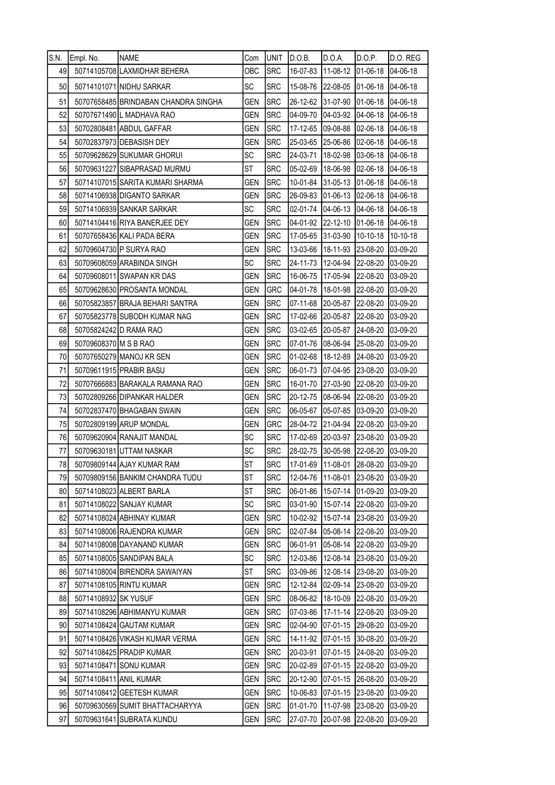| S.N. | Empl. No.              | <b>NAME</b>                          | Com        | IUNIT      | D.O.B.                     | D.O.A.            | D.O.P.   | D.O. REG         |
|------|------------------------|--------------------------------------|------------|------------|----------------------------|-------------------|----------|------------------|
| 49   |                        | 50714105708 LAXMIDHAR BEHERA         | ОВС        | <b>SRC</b> | 16-07-83                   | 11-08-12 01-06-18 |          | 04-06-18         |
| 50   |                        | 50714101071 NIDHU SARKAR             | <b>SC</b>  | <b>SRC</b> | 15-08-76                   | 22-08-05          | 01-06-18 | 04-06-18         |
| 51   |                        | 50707658485 BRINDABAN CHANDRA SINGHA | <b>GEN</b> | <b>SRC</b> | 26-12-62                   | 31-07-90          | 01-06-18 | 04-06-18         |
| 52   |                        | 50707671490 L MADHAVA RAO            | <b>GEN</b> | <b>SRC</b> | 04-09-70                   | 04-03-92          | 04-06-18 | 04-06-18         |
| 53   |                        | 50702808481 ABDUL GAFFAR             | <b>GEN</b> | <b>SRC</b> | 17-12-65                   | 09-08-88          | 02-06-18 | 04-06-18         |
| 54   |                        | 50702837973 DEBASISH DEY             | <b>GEN</b> | <b>SRC</b> | 25-03-65                   | 25-06-86          | 02-06-18 | 04-06-18         |
| 55   |                        | 50709628629 SUKUMAR GHORUI           | SC         | <b>SRC</b> | 24-03-71                   | 18-02-98          | 03-06-18 | 04-06-18         |
| 56   |                        | 50709631227 SIBAPRASAD MURMU         | <b>ST</b>  | <b>SRC</b> | 05-02-69                   | 18-06-98          | 02-06-18 | 04-06-18         |
| 57   |                        | 50714107015 SARITA KUMARI SHARMA     | <b>GEN</b> | <b>SRC</b> | 10-01-84                   | 31-05-13          | 01-06-18 | $ 04 - 06 - 18 $ |
| 58   |                        | 50714106938 DIGANTO SARKAR           | gen        | <b>SRC</b> | 26-09-83                   | 01-06-13          | 02-06-18 | 04-06-18         |
| 59   |                        | 50714106939 SANKAR SARKAR            | <b>SC</b>  | <b>SRC</b> | 02-01-74                   | 04-06-13          | 04-06-18 | 04-06-18         |
| 60   |                        | 50714104416 RIYA BANERJEE DEY        | <b>GEN</b> | <b>SRC</b> | 04-01-92                   | 22-12-10          | 01-06-18 | 04-06-18         |
| 61   |                        | 50707658436 KALI PADA BERA           | <b>GEN</b> | SRC        | 17-05-65                   | 31-03-90          | 10-10-18 | 10-10-18         |
| 62   |                        | 50709604730 P SURYA RAO              | <b>GEN</b> | SRC        | 13-03-66                   | 18-11-93          | 23-08-20 | 03-09-20         |
| 63   |                        | 50709608059 ARABINDA SINGH           | SC         | <b>SRC</b> | 24-11-73                   | 12-04-94          | 22-08-20 | 03-09-20         |
| 64   |                        | 50709608011 SWAPAN KR DAS            | <b>GEN</b> | <b>SRC</b> | 16-06-75                   | 17-05-94          | 22-08-20 | 03-09-20         |
| 65   |                        | 50709628630 PROSANTA MONDAL          | <b>GEN</b> | GRC        | 04-01-78                   | 18-01-98          | 22-08-20 | 03-09-20         |
| 66   |                        | 50705823857 BRAJA BEHARI SANTRA      | GEN        | <b>SRC</b> | 07-11-68                   | 20-05-87          | 22-08-20 | 03-09-20         |
| 67   |                        | 50705823778 SUBODH KUMAR NAG         | <b>GEN</b> | <b>SRC</b> | 17-02-66                   | 20-05-87 22-08-20 |          | 03-09-20         |
| 68   |                        | 50705824242 D RAMA RAO               | <b>GEN</b> | <b>SRC</b> | 03-02-65                   | 20-05-87          | 24-08-20 | 03-09-20         |
| 69   | 50709608370 M S B RAO  |                                      | <b>GEN</b> | <b>SRC</b> | 07-01-76                   | 08-06-94          | 25-08-20 | 03-09-20         |
| 70   |                        | 50707650279 MANOJ KR SEN             | <b>GEN</b> | <b>SRC</b> | 01-02-68                   | 18-12-89          | 24-08-20 | 03-09-20         |
| 71   |                        | 50709611915 PRABIR BASU              | GEN        | <b>SRC</b> | 06-01-73                   | 07-04-95          | 23-08-20 | 03-09-20         |
| 72   |                        | 50707666883 BARAKALA RAMANA RAO      | <b>GEN</b> | <b>SRC</b> | 16-01-70                   | 27-03-90          | 22-08-20 | 03-09-20         |
| 73   |                        | 50702809266 DIPANKAR HALDER          | gen        | <b>SRC</b> | 20-12-75                   | 08-06-94          | 22-08-20 | 03-09-20         |
| 74   |                        | 50702837470 BHAGABAN SWAIN           | <b>GEN</b> | <b>SRC</b> | 06-05-67                   | 05-07-85          | 03-09-20 | 03-09-20         |
| 75   |                        | 50702809199 ARUP MONDAL              | <b>GEN</b> | GRC        | 28-04-72                   | 21-04-94          | 22-08-20 | 03-09-20         |
| 76   |                        | 50709620904 RANAJIT MANDAL           | <b>SC</b>  | <b>SRC</b> | 17-02-69                   | 20-03-97          | 23-08-20 | 03-09-20         |
| 77   |                        | 50709630181 UTTAM NASKAR             | SC         | <b>SRC</b> | 28-02-75                   | 30-05-98 22-08-20 |          | 03-09-20         |
| 78   |                        | 50709809144 AJAY KUMAR RAM           | <b>ST</b>  | <b>SRC</b> | 17-01-69 11-08-01 28-08-20 |                   |          | 03-09-20         |
| 79   |                        | 50709809156 BANKIM CHANDRA TUDU      | <b>ST</b>  | <b>SRC</b> | 12-04-76                   | 11-08-01          | 23-08-20 | 03-09-20         |
| 80   |                        | 50714108023 ALBERT BARLA             | ST         | <b>SRC</b> | 06-01-86                   | 15-07-14          | 01-09-20 | 03-09-20         |
| 81   |                        | 50714108022 SANJAY KUMAR             | <b>SC</b>  | <b>SRC</b> | 03-01-90                   | 15-07-14          | 22-08-20 | 03-09-20         |
| 82   |                        | 50714108024 ABHINAY KUMAR            | <b>GEN</b> | <b>SRC</b> | 10-02-92                   | 15-07-14          | 23-08-20 | 03-09-20         |
| 83   |                        | 50714108006 RAJENDRA KUMAR           | gen        | <b>SRC</b> | 02-07-84                   | 05-08-14          | 22-08-20 | 03-09-20         |
| 84   |                        | 50714108008 DAYANAND KUMAR           | <b>GEN</b> | <b>SRC</b> | 06-01-91                   | 05-08-14          | 22-08-20 | 03-09-20         |
| 85   |                        | 50714108005 SANDIPAN BALA            | <b>SC</b>  | <b>SRC</b> | 12-03-86                   | 12-08-14          | 23-08-20 | 03-09-20         |
| 86   |                        | 50714108004 BIRENDRA SAWAIYAN        | ST         | <b>SRC</b> | 03-09-86                   | 12-08-14          | 23-08-20 | 03-09-20         |
| 87   |                        | 50714108105 RINTU KUMAR              | gen        | <b>SRC</b> | 12-12-84                   | 02-09-14          | 23-08-20 | 03-09-20         |
| 88   | 50714108932 SK YUSUF   |                                      | gen        | <b>SRC</b> | 08-06-82                   | 18-10-09          | 22-08-20 | 03-09-20         |
| 89   |                        | 50714108296 ABHIMANYU KUMAR          | GEN        | <b>SRC</b> | 07-03-86                   | 17-11-14          | 22-08-20 | 03-09-20         |
| 90   |                        | 50714108424 GAUTAM KUMAR             | GEN        | <b>SRC</b> | 02-04-90                   | 07-01-15          | 29-08-20 | 03-09-20         |
| 91   |                        | 50714108426 VIKASH KUMAR VERMA       | <b>GEN</b> | <b>SRC</b> | 14-11-92                   | 07-01-15          | 30-08-20 | 03-09-20         |
| 92   |                        | 50714108425 PRADIP KUMAR             | GEN        | <b>SRC</b> | 20-03-91                   | 07-01-15          | 24-08-20 | 03-09-20         |
| 93   |                        | 50714108471 SONU KUMAR               | GEN        | <b>SRC</b> | 20-02-89                   | 07-01-15          | 22-08-20 | 03-09-20         |
| 94   | 50714108411 ANIL KUMAR |                                      | GEN        | <b>SRC</b> | 20-12-90                   | 07-01-15          | 26-08-20 | 03-09-20         |
| 95   |                        | 50714108412 GEETESH KUMAR            | GEN        | SRC        | 10-06-83                   | 07-01-15          | 23-08-20 | 03-09-20         |
| 96   |                        | 50709630569 SUMIT BHATTACHARYYA      | <b>GEN</b> | <b>SRC</b> | 01-01-70                   | 11-07-98          | 23-08-20 | 03-09-20         |
| 97   |                        | 50709631641 SUBRATA KUNDU            | GEN        | <b>SRC</b> | 27-07-70                   | 20-07-98          | 22-08-20 | 03-09-20         |